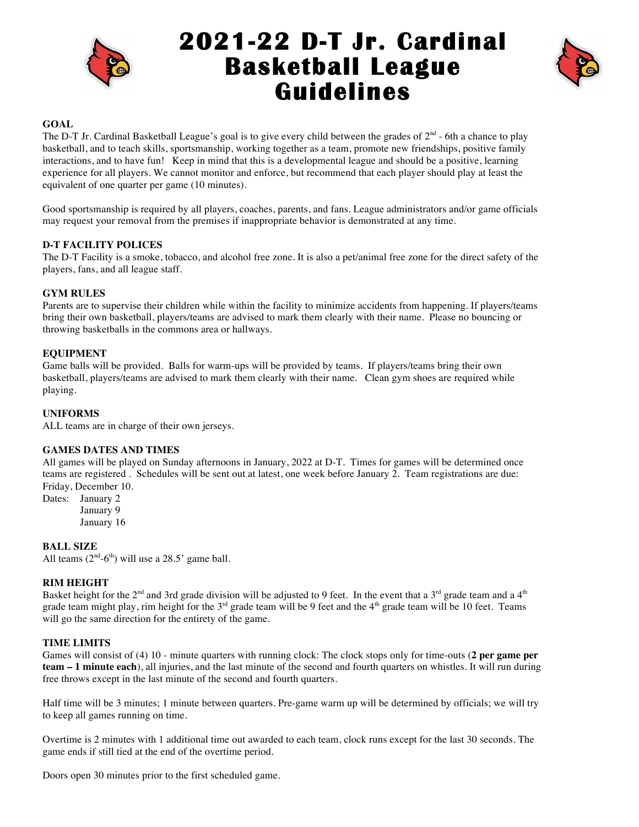

# **2021-22 D-T Jr. Cardinal Basketball League Guidelines**



# **GOAL**

The D-T Jr. Cardinal Basketball League's goal is to give every child between the grades of  $2<sup>nd</sup>$  - 6th a chance to play basketball, and to teach skills, sportsmanship, working together as a team, promote new friendships, positive family interactions, and to have fun! Keep in mind that this is a developmental league and should be a positive, learning experience for all players. We cannot monitor and enforce, but recommend that each player should play at least the equivalent of one quarter per game (10 minutes).

Good sportsmanship is required by all players, coaches, parents, and fans. League administrators and/or game officials may request your removal from the premises if inappropriate behavior is demonstrated at any time.

# **D-T FACILITY POLICES**

The D-T Facility is a smoke, tobacco, and alcohol free zone. It is also a pet/animal free zone for the direct safety of the players, fans, and all league staff.

# **GYM RULES**

Parents are to supervise their children while within the facility to minimize accidents from happening. If players/teams bring their own basketball, players/teams are advised to mark them clearly with their name. Please no bouncing or throwing basketballs in the commons area or hallways.

# **EQUIPMENT**

Game balls will be provided. Balls for warm-ups will be provided by teams. If players/teams bring their own basketball, players/teams are advised to mark them clearly with their name. Clean gym shoes are required while playing.

## **UNIFORMS**

ALL teams are in charge of their own jerseys.

## **GAMES DATES AND TIMES**

All games will be played on Sunday afternoons in January, 2022 at D-T. Times for games will be determined once teams are registered . Schedules will be sent out at latest, one week before January 2. Team registrations are due: Friday, December 10.

Dates: January 2 January 9 January 16

## **BALL SIZE**

All teams  $(2<sup>nd</sup>-6<sup>th</sup>)$  will use a 28.5' game ball.

# **RIM HEIGHT**

Basket height for the  $2^{nd}$  and 3rd grade division will be adjusted to 9 feet. In the event that a 3<sup>rd</sup> grade team and a 4<sup>th</sup> grade team might play, rim height for the  $3^{rd}$  grade team will be 9 feet and the  $4^{th}$  grade team will be 10 feet. Teams will go the same direction for the entirety of the game.

## **TIME LIMITS**

Games will consist of (4) 10 - minute quarters with running clock: The clock stops only for time-outs (**2 per game per team – 1 minute each**), all injuries, and the last minute of the second and fourth quarters on whistles. It will run during free throws except in the last minute of the second and fourth quarters.

Half time will be 3 minutes; 1 minute between quarters. Pre-game warm up will be determined by officials; we will try to keep all games running on time.

Overtime is 2 minutes with 1 additional time out awarded to each team, clock runs except for the last 30 seconds. The game ends if still tied at the end of the overtime period.

Doors open 30 minutes prior to the first scheduled game.